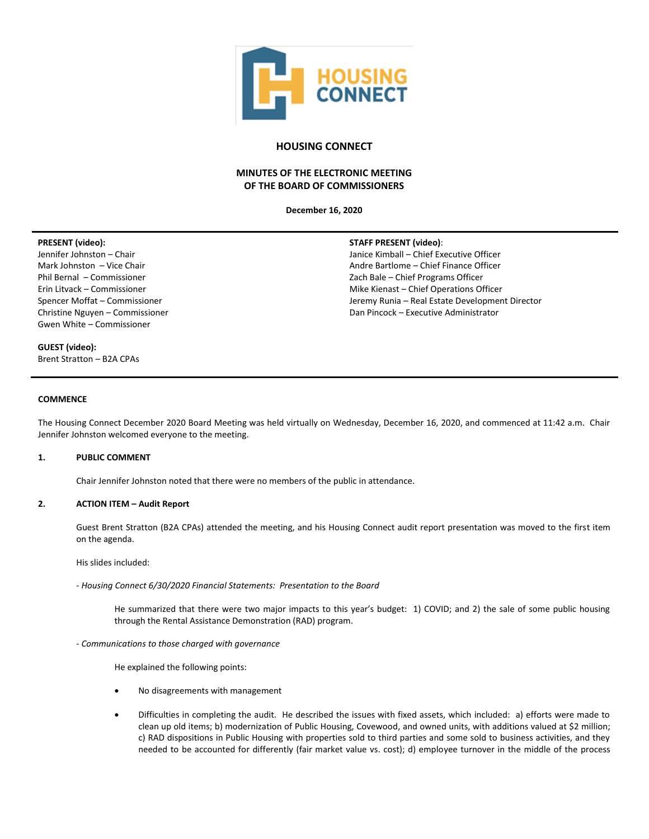

# **HOUSING CONNECT**

# **MINUTES OF THE ELECTRONIC MEETING OF THE BOARD OF COMMISSIONERS**

**December 16, 2020**

## **PRESENT (video):**

Jennifer Johnston – Chair Mark Johnston – Vice Chair Phil Bernal – Commissioner Erin Litvack – Commissioner Spencer Moffat – Commissioner Christine Nguyen – Commissioner Gwen White – Commissioner

## **STAFF PRESENT (video)**:

Janice Kimball – Chief Executive Officer Andre Bartlome – Chief Finance Officer Zach Bale – Chief Programs Officer Mike Kienast – Chief Operations Officer Jeremy Runia – Real Estate Development Director Dan Pincock – Executive Administrator

**GUEST (video):**

Brent Stratton – B2A CPAs

### **COMMENCE**

The Housing Connect December 2020 Board Meeting was held virtually on Wednesday, December 16, 2020, and commenced at 11:42 a.m. Chair Jennifer Johnston welcomed everyone to the meeting.

## **1. PUBLIC COMMENT**

Chair Jennifer Johnston noted that there were no members of the public in attendance.

## **2. ACTION ITEM – Audit Report**

Guest Brent Stratton (B2A CPAs) attended the meeting, and his Housing Connect audit report presentation was moved to the first item on the agenda.

His slides included:

- *Housing Connect 6/30/2020 Financial Statements: Presentation to the Board*

He summarized that there were two major impacts to this year's budget: 1) COVID; and 2) the sale of some public housing through the Rental Assistance Demonstration (RAD) program.

- *Communications to those charged with governance*

He explained the following points:

- No disagreements with management
- Difficulties in completing the audit. He described the issues with fixed assets, which included: a) efforts were made to clean up old items; b) modernization of Public Housing, Covewood, and owned units, with additions valued at \$2 million; c) RAD dispositions in Public Housing with properties sold to third parties and some sold to business activities, and they needed to be accounted for differently (fair market value vs. cost); d) employee turnover in the middle of the process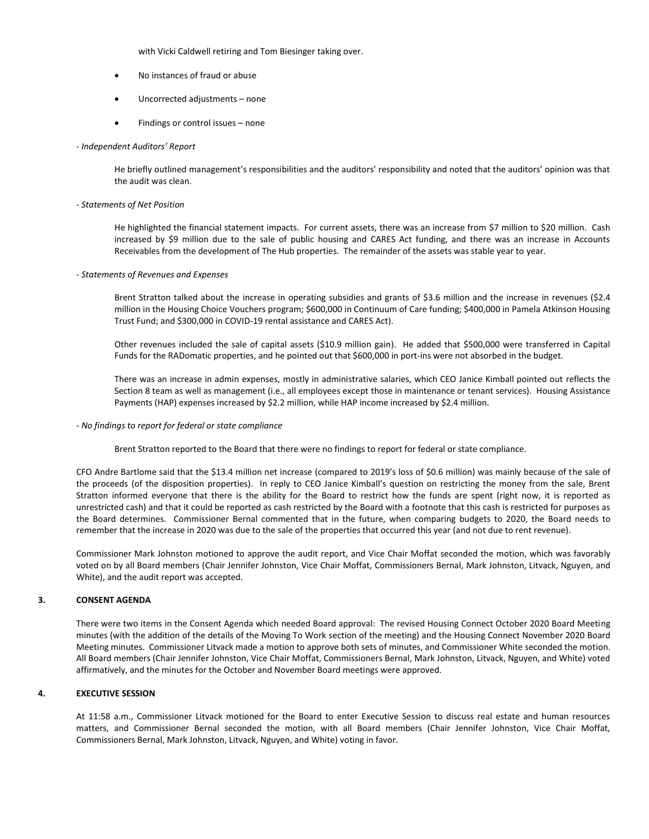with Vicki Caldwell retiring and Tom Biesinger taking over.

- No instances of fraud or abuse
- Uncorrected adjustments none
- Findings or control issues none

#### - *Independent Auditors' Report*

He briefly outlined management's responsibilities and the auditors' responsibility and noted that the auditors' opinion was that the audit was clean.

#### - *Statements of Net Position*

He highlighted the financial statement impacts. For current assets, there was an increase from \$7 million to \$20 million. Cash increased by \$9 million due to the sale of public housing and CARES Act funding, and there was an increase in Accounts Receivables from the development of The Hub properties. The remainder of the assets was stable year to year.

- *Statements of Revenues and Expenses*

Brent Stratton talked about the increase in operating subsidies and grants of \$3.6 million and the increase in revenues (\$2.4 million in the Housing Choice Vouchers program; \$600,000 in Continuum of Care funding; \$400,000 in Pamela Atkinson Housing Trust Fund; and \$300,000 in COVID-19 rental assistance and CARES Act).

Other revenues included the sale of capital assets (\$10.9 million gain). He added that \$500,000 were transferred in Capital Funds for the RADomatic properties, and he pointed out that \$600,000 in port-ins were not absorbed in the budget.

There was an increase in admin expenses, mostly in administrative salaries, which CEO Janice Kimball pointed out reflects the Section 8 team as well as management (i.e., all employees except those in maintenance or tenant services). Housing Assistance Payments (HAP) expenses increased by \$2.2 million, while HAP income increased by \$2.4 million.

#### - *No findings to report for federal or state compliance*

Brent Stratton reported to the Board that there were no findings to report for federal or state compliance.

CFO Andre Bartlome said that the \$13.4 million net increase (compared to 2019's loss of \$0.6 million) was mainly because of the sale of the proceeds (of the disposition properties). In reply to CEO Janice Kimball's question on restricting the money from the sale, Brent Stratton informed everyone that there is the ability for the Board to restrict how the funds are spent (right now, it is reported as unrestricted cash) and that it could be reported as cash restricted by the Board with a footnote that this cash is restricted for purposes as the Board determines. Commissioner Bernal commented that in the future, when comparing budgets to 2020, the Board needs to remember that the increase in 2020 was due to the sale of the properties that occurred this year (and not due to rent revenue).

Commissioner Mark Johnston motioned to approve the audit report, and Vice Chair Moffat seconded the motion, which was favorably voted on by all Board members (Chair Jennifer Johnston, Vice Chair Moffat, Commissioners Bernal, Mark Johnston, Litvack, Nguyen, and White), and the audit report was accepted.

## **3. CONSENT AGENDA**

There were two items in the Consent Agenda which needed Board approval: The revised Housing Connect October 2020 Board Meeting minutes (with the addition of the details of the Moving To Work section of the meeting) and the Housing Connect November 2020 Board Meeting minutes. Commissioner Litvack made a motion to approve both sets of minutes, and Commissioner White seconded the motion. All Board members (Chair Jennifer Johnston, Vice Chair Moffat, Commissioners Bernal, Mark Johnston, Litvack, Nguyen, and White) voted affirmatively, and the minutes for the October and November Board meetings were approved.

## **4. EXECUTIVE SESSION**

At 11:58 a.m., Commissioner Litvack motioned for the Board to enter Executive Session to discuss real estate and human resources matters, and Commissioner Bernal seconded the motion, with all Board members (Chair Jennifer Johnston, Vice Chair Moffat, Commissioners Bernal, Mark Johnston, Litvack, Nguyen, and White) voting in favor.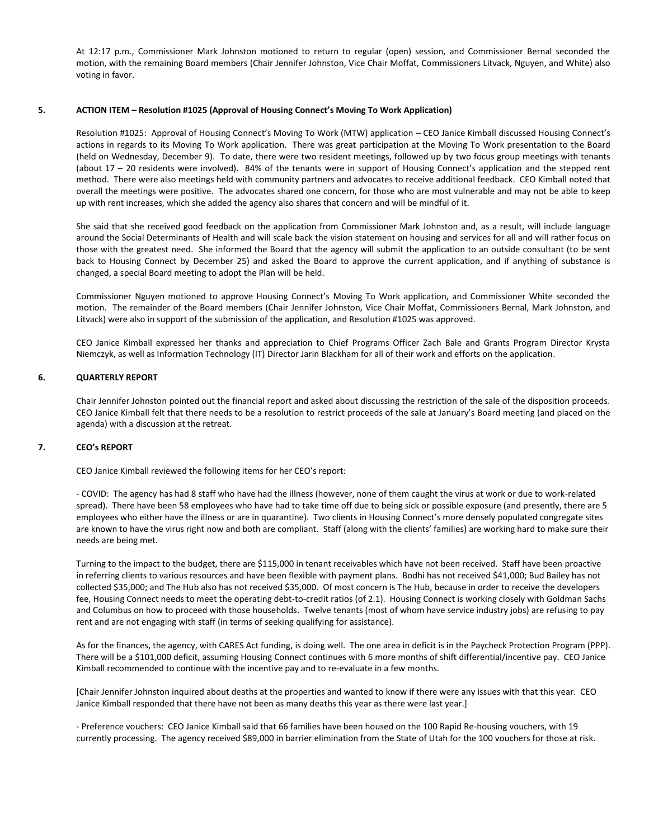At 12:17 p.m., Commissioner Mark Johnston motioned to return to regular (open) session, and Commissioner Bernal seconded the motion, with the remaining Board members (Chair Jennifer Johnston, Vice Chair Moffat, Commissioners Litvack, Nguyen, and White) also voting in favor.

## **5. ACTION ITEM – Resolution #1025 (Approval of Housing Connect's Moving To Work Application)**

Resolution #1025: Approval of Housing Connect's Moving To Work (MTW) application – CEO Janice Kimball discussed Housing Connect's actions in regards to its Moving To Work application. There was great participation at the Moving To Work presentation to the Board (held on Wednesday, December 9). To date, there were two resident meetings, followed up by two focus group meetings with tenants (about 17 – 20 residents were involved). 84% of the tenants were in support of Housing Connect's application and the stepped rent method. There were also meetings held with community partners and advocates to receive additional feedback. CEO Kimball noted that overall the meetings were positive. The advocates shared one concern, for those who are most vulnerable and may not be able to keep up with rent increases, which she added the agency also shares that concern and will be mindful of it.

She said that she received good feedback on the application from Commissioner Mark Johnston and, as a result, will include language around the Social Determinants of Health and will scale back the vision statement on housing and services for all and will rather focus on those with the greatest need. She informed the Board that the agency will submit the application to an outside consultant (to be sent back to Housing Connect by December 25) and asked the Board to approve the current application, and if anything of substance is changed, a special Board meeting to adopt the Plan will be held.

Commissioner Nguyen motioned to approve Housing Connect's Moving To Work application, and Commissioner White seconded the motion. The remainder of the Board members (Chair Jennifer Johnston, Vice Chair Moffat, Commissioners Bernal, Mark Johnston, and Litvack) were also in support of the submission of the application, and Resolution #1025 was approved.

CEO Janice Kimball expressed her thanks and appreciation to Chief Programs Officer Zach Bale and Grants Program Director Krysta Niemczyk, as well as Information Technology (IT) Director Jarin Blackham for all of their work and efforts on the application.

## **6. QUARTERLY REPORT**

Chair Jennifer Johnston pointed out the financial report and asked about discussing the restriction of the sale of the disposition proceeds. CEO Janice Kimball felt that there needs to be a resolution to restrict proceeds of the sale at January's Board meeting (and placed on the agenda) with a discussion at the retreat.

## **7. CEO's REPORT**

CEO Janice Kimball reviewed the following items for her CEO's report:

- COVID: The agency has had 8 staff who have had the illness (however, none of them caught the virus at work or due to work-related spread). There have been 58 employees who have had to take time off due to being sick or possible exposure (and presently, there are 5 employees who either have the illness or are in quarantine). Two clients in Housing Connect's more densely populated congregate sites are known to have the virus right now and both are compliant. Staff (along with the clients' families) are working hard to make sure their needs are being met.

Turning to the impact to the budget, there are \$115,000 in tenant receivables which have not been received. Staff have been proactive in referring clients to various resources and have been flexible with payment plans. Bodhi has not received \$41,000; Bud Bailey has not collected \$35,000; and The Hub also has not received \$35,000. Of most concern is The Hub, because in order to receive the developers fee, Housing Connect needs to meet the operating debt-to-credit ratios (of 2.1). Housing Connect is working closely with Goldman Sachs and Columbus on how to proceed with those households. Twelve tenants (most of whom have service industry jobs) are refusing to pay rent and are not engaging with staff (in terms of seeking qualifying for assistance).

As for the finances, the agency, with CARES Act funding, is doing well. The one area in deficit is in the Paycheck Protection Program (PPP). There will be a \$101,000 deficit, assuming Housing Connect continues with 6 more months of shift differential/incentive pay. CEO Janice Kimball recommended to continue with the incentive pay and to re-evaluate in a few months.

[Chair Jennifer Johnston inquired about deaths at the properties and wanted to know if there were any issues with that this year. CEO Janice Kimball responded that there have not been as many deaths this year as there were last year.]

- Preference vouchers: CEO Janice Kimball said that 66 families have been housed on the 100 Rapid Re-housing vouchers, with 19 currently processing. The agency received \$89,000 in barrier elimination from the State of Utah for the 100 vouchers for those at risk.